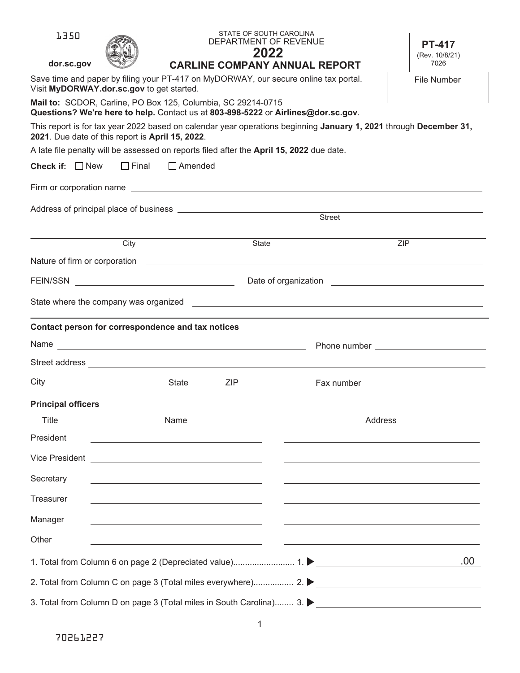| 1350                                                                                                                                                                  |                                                                                                                                                   | STATE OF SOUTH CAROLINA<br>DEPARTMENT OF REVENUE<br>2022 |                                      | <b>PT-417</b><br>(Rev. 10/8/21) |  |  |
|-----------------------------------------------------------------------------------------------------------------------------------------------------------------------|---------------------------------------------------------------------------------------------------------------------------------------------------|----------------------------------------------------------|--------------------------------------|---------------------------------|--|--|
| dor.sc.gov                                                                                                                                                            |                                                                                                                                                   |                                                          | <b>CARLINE COMPANY ANNUAL REPORT</b> | 7026                            |  |  |
|                                                                                                                                                                       | Save time and paper by filing your PT-417 on MyDORWAY, our secure online tax portal.<br>File Number<br>Visit MyDORWAY.dor.sc.gov to get started.  |                                                          |                                      |                                 |  |  |
|                                                                                                                                                                       | Mail to: SCDOR, Carline, PO Box 125, Columbia, SC 29214-0715<br>Questions? We're here to help. Contact us at 803-898-5222 or Airlines@dor.sc.gov. |                                                          |                                      |                                 |  |  |
| This report is for tax year 2022 based on calendar year operations beginning January 1, 2021 through December 31,<br>2021. Due date of this report is April 15, 2022. |                                                                                                                                                   |                                                          |                                      |                                 |  |  |
|                                                                                                                                                                       | A late file penalty will be assessed on reports filed after the April 15, 2022 due date.                                                          |                                                          |                                      |                                 |  |  |
| <b>Check if:</b> $\Box$ New                                                                                                                                           | $\Box$ Final<br>$\Box$ Amended                                                                                                                    |                                                          |                                      |                                 |  |  |
|                                                                                                                                                                       |                                                                                                                                                   |                                                          |                                      |                                 |  |  |
|                                                                                                                                                                       |                                                                                                                                                   |                                                          | Street                               |                                 |  |  |
|                                                                                                                                                                       |                                                                                                                                                   |                                                          |                                      |                                 |  |  |
|                                                                                                                                                                       | City                                                                                                                                              | State                                                    |                                      | <b>ZIP</b>                      |  |  |
|                                                                                                                                                                       |                                                                                                                                                   |                                                          |                                      |                                 |  |  |
| <b>FEIN/SSN</b>                                                                                                                                                       | <u> 1989 - Johann Barbara, martxa alemaniar a</u>                                                                                                 |                                                          |                                      |                                 |  |  |
|                                                                                                                                                                       |                                                                                                                                                   |                                                          |                                      |                                 |  |  |
|                                                                                                                                                                       | Contact person for correspondence and tax notices                                                                                                 |                                                          |                                      |                                 |  |  |
|                                                                                                                                                                       |                                                                                                                                                   |                                                          |                                      |                                 |  |  |
|                                                                                                                                                                       |                                                                                                                                                   |                                                          |                                      |                                 |  |  |
| City                                                                                                                                                                  |                                                                                                                                                   |                                                          |                                      |                                 |  |  |
| <b>Principal officers</b>                                                                                                                                             |                                                                                                                                                   |                                                          |                                      |                                 |  |  |
| <b>Title</b>                                                                                                                                                          | Name                                                                                                                                              |                                                          | <b>Address</b>                       |                                 |  |  |
| President                                                                                                                                                             |                                                                                                                                                   |                                                          |                                      |                                 |  |  |
| Vice President                                                                                                                                                        | <u> 1990 - Johann Barn, amerikansk politiker (</u>                                                                                                |                                                          |                                      |                                 |  |  |
| Secretary                                                                                                                                                             |                                                                                                                                                   |                                                          |                                      |                                 |  |  |
| Treasurer                                                                                                                                                             |                                                                                                                                                   |                                                          |                                      |                                 |  |  |
| Manager                                                                                                                                                               |                                                                                                                                                   |                                                          |                                      |                                 |  |  |
| Other                                                                                                                                                                 |                                                                                                                                                   |                                                          |                                      |                                 |  |  |
|                                                                                                                                                                       |                                                                                                                                                   |                                                          |                                      | .00.                            |  |  |
|                                                                                                                                                                       |                                                                                                                                                   |                                                          |                                      |                                 |  |  |
|                                                                                                                                                                       |                                                                                                                                                   |                                                          |                                      |                                 |  |  |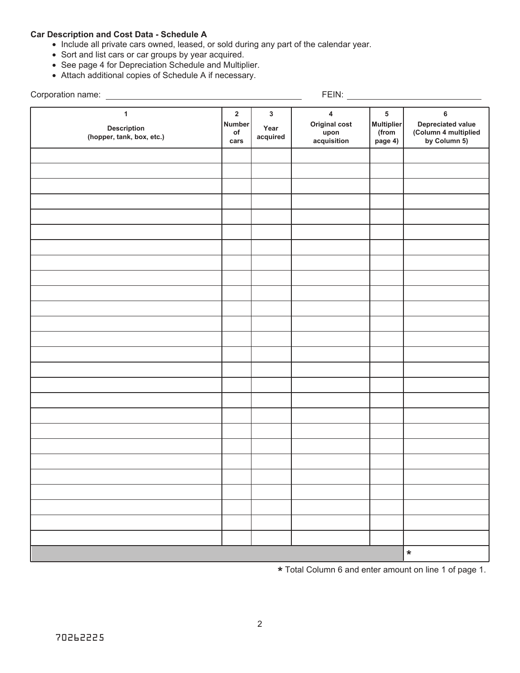# **Car Description and Cost Data - Schedule A**

- Include all private cars owned, leased, or sold during any part of the calendar year.
- Sort and list cars or car groups by year acquired.
- See page 4 for Depreciation Schedule and Multiplier.
- Attach additional copies of Schedule A if necessary.

Corporation name:

FEIN:

| л.                                                       |                                                       |                                  |                                                                 |                                            |                                                                |
|----------------------------------------------------------|-------------------------------------------------------|----------------------------------|-----------------------------------------------------------------|--------------------------------------------|----------------------------------------------------------------|
| $\mathbf{1}$<br>Description<br>(hopper, tank, box, etc.) | $\mathbf 2$<br><b>Number</b><br>$\mathsf{of}$<br>cars | $\mathbf{3}$<br>Year<br>acquired | $\overline{\mathbf{4}}$<br>Original cost<br>upon<br>acquisition | 5<br><b>Multiplier</b><br>(from<br>page 4) | 6<br>Depreciated value<br>(Column 4 multiplied<br>by Column 5) |
|                                                          |                                                       |                                  |                                                                 |                                            |                                                                |
|                                                          |                                                       |                                  |                                                                 |                                            |                                                                |
|                                                          |                                                       |                                  |                                                                 |                                            |                                                                |
|                                                          |                                                       |                                  |                                                                 |                                            |                                                                |
|                                                          |                                                       |                                  |                                                                 |                                            |                                                                |
|                                                          |                                                       |                                  |                                                                 |                                            |                                                                |
|                                                          |                                                       |                                  |                                                                 |                                            |                                                                |
|                                                          |                                                       |                                  |                                                                 |                                            |                                                                |
|                                                          |                                                       |                                  |                                                                 |                                            |                                                                |
|                                                          |                                                       |                                  |                                                                 |                                            |                                                                |
|                                                          |                                                       |                                  |                                                                 |                                            |                                                                |
|                                                          |                                                       |                                  |                                                                 |                                            |                                                                |
|                                                          |                                                       |                                  |                                                                 |                                            |                                                                |
|                                                          |                                                       |                                  |                                                                 |                                            |                                                                |
|                                                          |                                                       |                                  |                                                                 |                                            |                                                                |
|                                                          |                                                       |                                  |                                                                 |                                            |                                                                |
|                                                          |                                                       |                                  |                                                                 |                                            |                                                                |
|                                                          |                                                       |                                  |                                                                 |                                            |                                                                |
|                                                          |                                                       |                                  |                                                                 |                                            |                                                                |
|                                                          |                                                       |                                  |                                                                 |                                            |                                                                |
|                                                          |                                                       |                                  |                                                                 |                                            |                                                                |
|                                                          |                                                       |                                  |                                                                 |                                            |                                                                |
|                                                          |                                                       |                                  |                                                                 |                                            |                                                                |
|                                                          |                                                       |                                  |                                                                 |                                            |                                                                |
|                                                          |                                                       |                                  |                                                                 |                                            | $\star$                                                        |

**\*** Total Column 6 and enter amount on line 1 of page 1.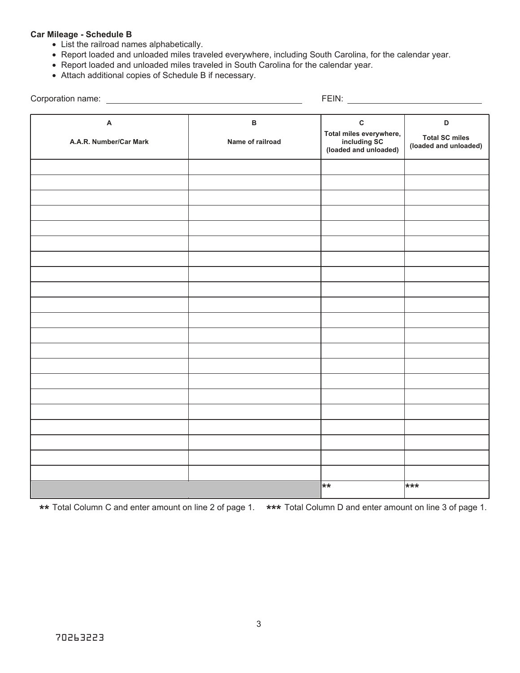# **Car Mileage - Schedule B**

- List the railroad names alphabetically.
- Report loaded and unloaded miles traveled everywhere, including South Carolina, for the calendar year.
- Report loaded and unloaded miles traveled in South Carolina for the calendar year.
- Attach additional copies of Schedule B if necessary.

| Corporation name: __________________________        |                                  |                                                                                  |                                                     |
|-----------------------------------------------------|----------------------------------|----------------------------------------------------------------------------------|-----------------------------------------------------|
| $\boldsymbol{\mathsf{A}}$<br>A.A.R. Number/Car Mark | $\, {\bf B}$<br>Name of railroad | $\mathbf{C}$<br>Total miles everywhere,<br>including SC<br>(loaded and unloaded) | D<br><b>Total SC miles</b><br>(loaded and unloaded) |
|                                                     |                                  |                                                                                  |                                                     |
|                                                     |                                  |                                                                                  |                                                     |
|                                                     |                                  |                                                                                  |                                                     |
|                                                     |                                  |                                                                                  |                                                     |
|                                                     |                                  |                                                                                  |                                                     |
|                                                     |                                  |                                                                                  |                                                     |
|                                                     |                                  |                                                                                  |                                                     |
|                                                     |                                  |                                                                                  |                                                     |
|                                                     |                                  |                                                                                  |                                                     |
|                                                     |                                  |                                                                                  |                                                     |
|                                                     |                                  |                                                                                  |                                                     |
|                                                     |                                  |                                                                                  |                                                     |
|                                                     |                                  |                                                                                  |                                                     |
|                                                     |                                  |                                                                                  |                                                     |
|                                                     |                                  |                                                                                  |                                                     |
|                                                     |                                  |                                                                                  |                                                     |
|                                                     |                                  |                                                                                  |                                                     |
|                                                     |                                  |                                                                                  |                                                     |
|                                                     |                                  |                                                                                  |                                                     |
|                                                     |                                  |                                                                                  |                                                     |
|                                                     |                                  | **                                                                               | ***                                                 |

**\*\* \*\*\*** Total Column C and enter amount on line 2 of page 1. Total Column D and enter amount on line 3 of page 1.